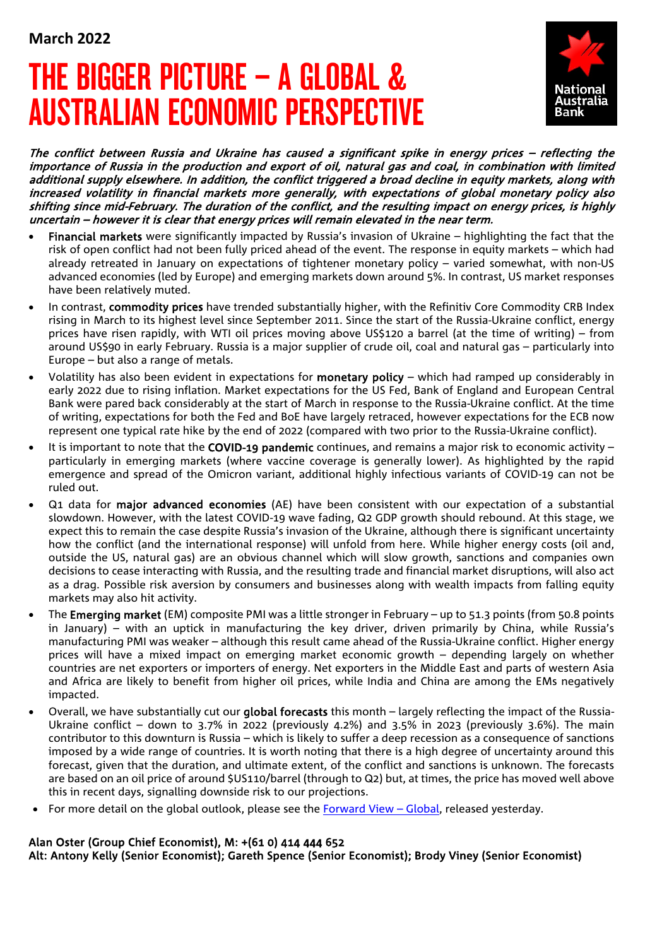# THE BIGGER PICTURE – A GLOBAL & AUSTRALIAN ECONOMIC PERSPECTIVE



The conflict between Russia and Ukraine has caused a significant spike in energy prices – reflecting the importance of Russia in the production and export of oil, natural gas and coal, in combination with limited additional supply elsewhere. In addition, the conflict triggered a broad decline in equity markets, along with increased volatility in financial markets more generally, with expectations of global monetary policy also shifting since mid-February. The duration of the conflict, and the resulting impact on energy prices, is highly uncertain – however it is clear that energy prices will remain elevated in the near term.

- Financial markets were significantly impacted by Russia's invasion of Ukraine highlighting the fact that the risk of open conflict had not been fully priced ahead of the event. The response in equity markets – which had already retreated in January on expectations of tightener monetary policy – varied somewhat, with non-US advanced economies (led by Europe) and emerging markets down around 5%. In contrast, US market responses have been relatively muted.
- In contrast, commodity prices have trended substantially higher, with the Refinitiv Core Commodity CRB Index rising in March to its highest level since September 2011. Since the start of the Russia-Ukraine conflict, energy prices have risen rapidly, with WTI oil prices moving above US\$120 a barrel (at the time of writing) – from around US\$90 in early February. Russia is a major supplier of crude oil, coal and natural gas – particularly into Europe – but also a range of metals.
- Volatility has also been evident in expectations for monetary policy which had ramped up considerably in early 2022 due to rising inflation. Market expectations for the US Fed, Bank of England and European Central Bank were pared back considerably at the start of March in response to the Russia-Ukraine conflict. At the time of writing, expectations for both the Fed and BoE have largely retraced, however expectations for the ECB now represent one typical rate hike by the end of 2022 (compared with two prior to the Russia-Ukraine conflict).
- It is important to note that the COVID-19 pandemic continues, and remains a major risk to economic activity particularly in emerging markets (where vaccine coverage is generally lower). As highlighted by the rapid emergence and spread of the Omicron variant, additional highly infectious variants of COVID-19 can not be ruled out.
- Q1 data for major advanced economies (AE) have been consistent with our expectation of a substantial slowdown. However, with the latest COVID-19 wave fading, Q2 GDP growth should rebound. At this stage, we expect this to remain the case despite Russia's invasion of the Ukraine, although there is significant uncertainty how the conflict (and the international response) will unfold from here. While higher energy costs (oil and, outside the US, natural gas) are an obvious channel which will slow growth, sanctions and companies own decisions to cease interacting with Russia, and the resulting trade and financial market disruptions, will also act as a drag. Possible risk aversion by consumers and businesses along with wealth impacts from falling equity markets may also hit activity.
- The Emerging market (EM) composite PMI was a little stronger in February up to 51.3 points (from 50.8 points in January) – with an uptick in manufacturing the key driver, driven primarily by China, while Russia's manufacturing PMI was weaker – although this result came ahead of the Russia-Ukraine conflict. Higher energy prices will have a mixed impact on emerging market economic growth – depending largely on whether countries are net exporters or importers of energy. Net exporters in the Middle East and parts of western Asia and Africa are likely to benefit from higher oil prices, while India and China are among the EMs negatively impacted.
- Overall, we have substantially cut our global forecasts this month largely reflecting the impact of the Russia-Ukraine conflict – down to 3.7% in 2022 (previously 4.2%) and 3.5% in 2023 (previously 3.6%). The main contributor to this downturn is Russia – which is likely to suffer a deep recession as a consequence of sanctions imposed by a wide range of countries. It is worth noting that there is a high degree of uncertainty around this forecast, given that the duration, and ultimate extent, of the conflict and sanctions is unknown. The forecasts are based on an oil price of around \$US110/barrel (through to Q2) but, at times, the price has moved well above this in recent days, signalling downside risk to our projections.
- For more detail on the global outlook, please see the Forward View Global, released yesterday.

## Alan Oster (Group Chief Economist), M: +(61 0) 414 444 652

Alt: Antony Kelly (Senior Economist); Gareth Spence (Senior Economist); Brody Viney (Senior Economist)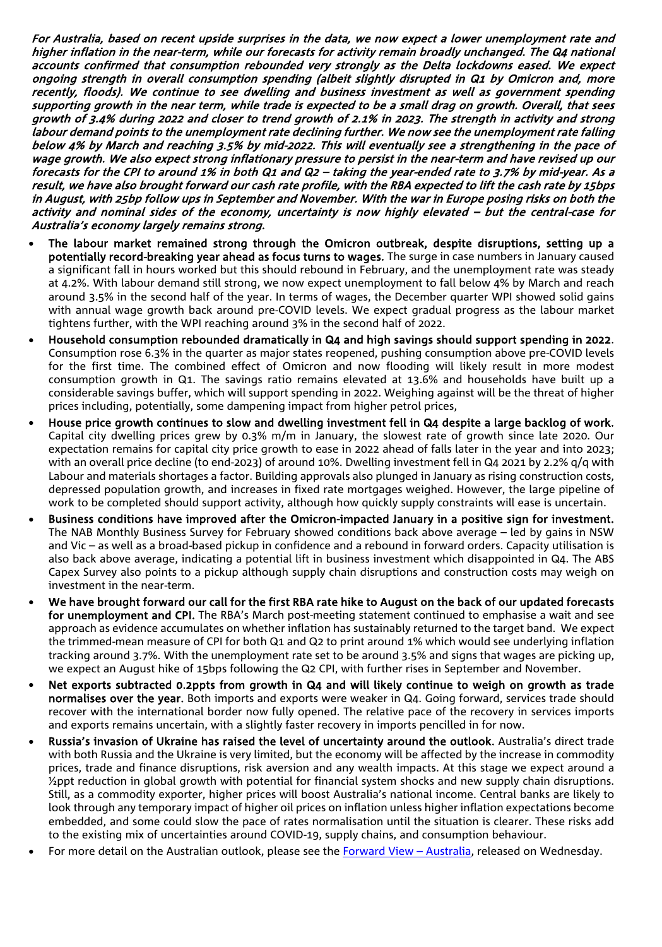For Australia, based on recent upside surprises in the data, we now expect a lower unemployment rate and higher inflation in the near-term, while our forecasts for activity remain broadly unchanged. The Q4 national accounts confirmed that consumption rebounded very strongly as the Delta lockdowns eased. We expect ongoing strength in overall consumption spending (albeit slightly disrupted in Q1 by Omicron and, more recently, floods). We continue to see dwelling and business investment as well as government spending supporting growth in the near term, while trade is expected to be a small drag on growth. Overall, that sees growth of 3.4% during 2022 and closer to trend growth of 2.1% in 2023. The strength in activity and strong labour demand points to the unemployment rate declining further. We now see the unemployment rate falling below 4% by March and reaching 3.5% by mid-2022. This will eventually see a strengthening in the pace of wage growth. We also expect strong inflationary pressure to persist in the near-term and have revised up our forecasts for the CPI to around 1% in both Q1 and Q2 – taking the year-ended rate to 3.7% by mid-year. As a result, we have also brought forward our cash rate profile, with the RBA expected to lift the cash rate by 15bps in August, with 25bp follow ups in September and November. With the war in Europe posing risks on both the activity and nominal sides of the economy, uncertainty is now highly elevated – but the central-case for Australia's economy largely remains strong.

- The labour market remained strong through the Omicron outbreak, despite disruptions, setting up a potentially record-breaking year ahead as focus turns to wages. The surge in case numbers in January caused a significant fall in hours worked but this should rebound in February, and the unemployment rate was steady at 4.2%. With labour demand still strong, we now expect unemployment to fall below 4% by March and reach around 3.5% in the second half of the year. In terms of wages, the December quarter WPI showed solid gains with annual wage growth back around pre-COVID levels. We expect gradual progress as the labour market tightens further, with the WPI reaching around 3% in the second half of 2022.
- Household consumption rebounded dramatically in Q4 and high savings should support spending in 2022. Consumption rose 6.3% in the quarter as major states reopened, pushing consumption above pre-COVID levels for the first time. The combined effect of Omicron and now flooding will likely result in more modest consumption growth in Q1. The savings ratio remains elevated at 13.6% and households have built up a considerable savings buffer, which will support spending in 2022. Weighing against will be the threat of higher prices including, potentially, some dampening impact from higher petrol prices,
- House price growth continues to slow and dwelling investment fell in Q4 despite a large backlog of work. Capital city dwelling prices grew by 0.3% m/m in January, the slowest rate of growth since late 2020. Our expectation remains for capital city price growth to ease in 2022 ahead of falls later in the year and into 2023; with an overall price decline (to end-2023) of around 10%. Dwelling investment fell in Q4 2021 by 2.2% q/q with Labour and materials shortages a factor. Building approvals also plunged in January as rising construction costs, depressed population growth, and increases in fixed rate mortgages weighed. However, the large pipeline of work to be completed should support activity, although how quickly supply constraints will ease is uncertain.
- Business conditions have improved after the Omicron-impacted January in a positive sign for investment. The NAB Monthly Business Survey for February showed conditions back above average – led by gains in NSW and Vic – as well as a broad-based pickup in confidence and a rebound in forward orders. Capacity utilisation is also back above average, indicating a potential lift in business investment which disappointed in Q4. The ABS Capex Survey also points to a pickup although supply chain disruptions and construction costs may weigh on investment in the near-term.
- We have brought forward our call for the first RBA rate hike to August on the back of our updated forecasts for unemployment and CPI. The RBA's March post-meeting statement continued to emphasise a wait and see approach as evidence accumulates on whether inflation has sustainably returned to the target band. We expect the trimmed-mean measure of CPI for both Q1 and Q2 to print around 1% which would see underlying inflation tracking around 3.7%. With the unemployment rate set to be around 3.5% and signs that wages are picking up, we expect an August hike of 15bps following the Q2 CPI, with further rises in September and November.
- Net exports subtracted 0.2ppts from growth in Q4 and will likely continue to weigh on growth as trade normalises over the year. Both imports and exports were weaker in Q4. Going forward, services trade should recover with the international border now fully opened. The relative pace of the recovery in services imports and exports remains uncertain, with a slightly faster recovery in imports pencilled in for now.
- Russia's invasion of Ukraine has raised the level of uncertainty around the outlook. Australia's direct trade with both Russia and the Ukraine is very limited, but the economy will be affected by the increase in commodity prices, trade and finance disruptions, risk aversion and any wealth impacts. At this stage we expect around a ½ppt reduction in global growth with potential for financial system shocks and new supply chain disruptions. Still, as a commodity exporter, higher prices will boost Australia's national income. Central banks are likely to look through any temporary impact of higher oil prices on inflation unless higher inflation expectations become embedded, and some could slow the pace of rates normalisation until the situation is clearer. These risks add to the existing mix of uncertainties around COVID-19, supply chains, and consumption behaviour.
- For more detail on the Australian outlook, please see the Forward View Australia, released on Wednesday.